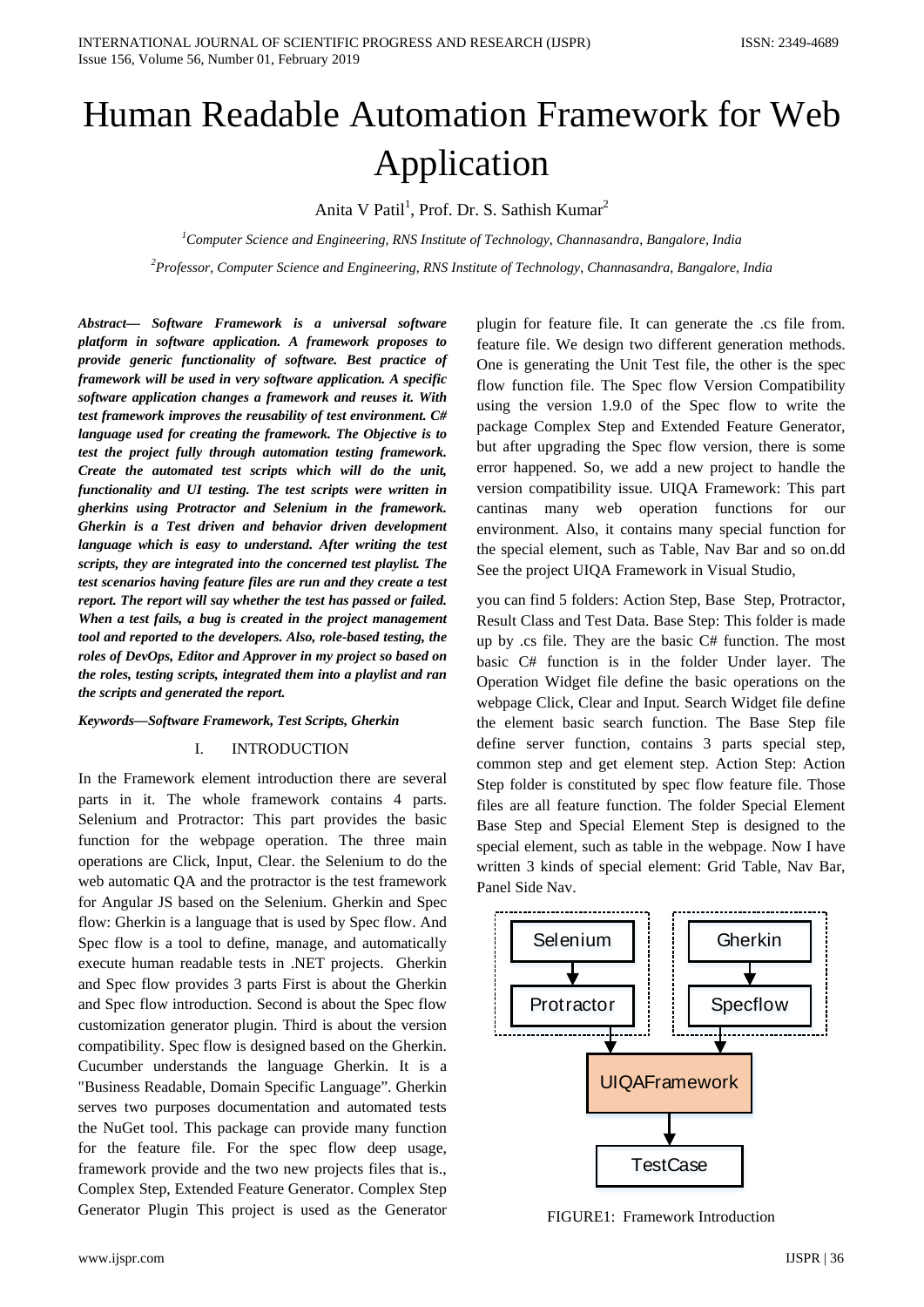# Human Readable Automation Framework for Web Application

Anita V Patil<sup>1</sup>, Prof. Dr. S. Sathish Kumar<sup>2</sup>

*1 Computer Science and Engineering, RNS Institute of Technology, Channasandra, Bangalore, India 2 Professor, Computer Science and Engineering, RNS Institute of Technology, Channasandra, Bangalore, India*

*Abstract— Software Framework is a universal software platform in software application. A framework proposes to provide generic functionality of software. Best practice of framework will be used in very software application. A specific software application changes a framework and reuses it. With test framework improves the reusability of test environment. C# language used for creating the framework. The Objective is to test the project fully through automation testing framework. Create the automated test scripts which will do the unit, functionality and UI testing. The test scripts were written in gherkins using Protractor and Selenium in the framework. Gherkin is a Test driven and behavior driven development language which is easy to understand. After writing the test scripts, they are integrated into the concerned test playlist. The test scenarios having feature files are run and they create a test report. The report will say whether the test has passed or failed. When a test fails, a bug is created in the project management tool and reported to the developers. Also, role-based testing, the roles of DevOps, Editor and Approver in my project so based on the roles, testing scripts, integrated them into a playlist and ran the scripts and generated the report.* 

## *Keywords—Software Framework, Test Scripts, Gherkin*

#### I. INTRODUCTION

In the Framework element introduction there are several parts in it. The whole framework contains 4 parts. Selenium and Protractor: This part provides the basic function for the webpage operation. The three main operations are Click, Input, Clear. the Selenium to do the web automatic QA and the protractor is the test framework for Angular JS based on the Selenium. Gherkin and Spec flow: Gherkin is a language that is used by Spec flow. And Spec flow is a tool to define, manage, and automatically execute human readable tests in .NET projects. Gherkin and Spec flow provides 3 parts First is about the Gherkin and Spec flow introduction. Second is about the Spec flow customization generator plugin. Third is about the version compatibility. Spec flow is designed based on the Gherkin. Cucumber understands the language Gherkin. It is a "Business Readable, Domain Specific Language". Gherkin serves two purposes documentation and automated tests the NuGet tool. This package can provide many function for the feature file. For the spec flow deep usage, framework provide and the two new projects files that is., Complex Step, Extended Feature Generator. Complex Step Generator Plugin This project is used as the Generator plugin for feature file. It can generate the .cs file from. feature file. We design two different generation methods. One is generating the Unit Test file, the other is the spec flow function file. The Spec flow Version Compatibility using the version 1.9.0 of the Spec flow to write the package Complex Step and Extended Feature Generator, but after upgrading the Spec flow version, there is some error happened. So, we add a new project to handle the version compatibility issue. UIQA Framework: This part cantinas many web operation functions for our environment. Also, it contains many special function for the special element, such as Table, Nav Bar and so on.dd See the project UIQA Framework in Visual Studio,

you can find 5 folders: Action Step, Base Step, Protractor, Result Class and Test Data. Base Step: This folder is made up by .cs file. They are the basic C# function. The most basic C# function is in the folder Under layer. The Operation Widget file define the basic operations on the webpage Click, Clear and Input. Search Widget file define the element basic search function. The Base Step file define server function, contains 3 parts special step, common step and get element step. Action Step: Action Step folder is constituted by spec flow feature file. Those files are all feature function. The folder Special Element Base Step and Special Element Step is designed to the special element, such as table in the webpage. Now I have written 3 kinds of special element: Grid Table, Nav Bar, Panel Side Nav.



FIGURE1: Framework Introduction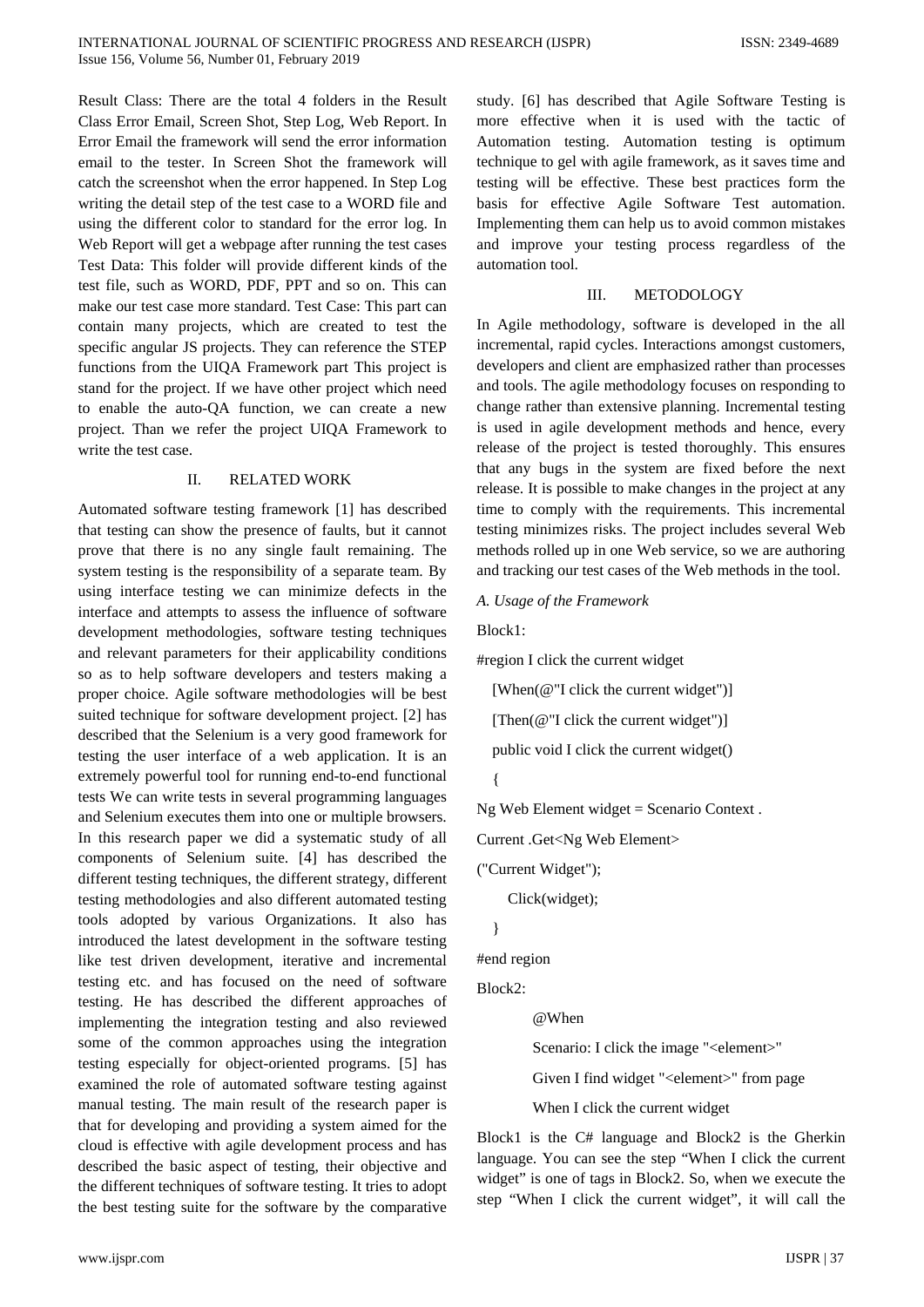Result Class: There are the total 4 folders in the Result Class Error Email, Screen Shot, Step Log, Web Report. In Error Email the framework will send the error information email to the tester. In Screen Shot the framework will catch the screenshot when the error happened. In Step Log writing the detail step of the test case to a WORD file and using the different color to standard for the error log. In Web Report will get a webpage after running the test cases Test Data: This folder will provide different kinds of the test file, such as WORD, PDF, PPT and so on. This can make our test case more standard. Test Case: This part can contain many projects, which are created to test the specific angular JS projects. They can reference the STEP functions from the UIQA Framework part This project is stand for the project. If we have other project which need to enable the auto-QA function, we can create a new project. Than we refer the project UIQA Framework to write the test case.

#### II. RELATED WORK

Automated software testing framework [1] has described that testing can show the presence of faults, but it cannot prove that there is no any single fault remaining. The system testing is the responsibility of a separate team. By using interface testing we can minimize defects in the interface and attempts to assess the influence of software development methodologies, software testing techniques and relevant parameters for their applicability conditions so as to help software developers and testers making a proper choice. Agile software methodologies will be best suited technique for software development project. [2] has described that the Selenium is a very good framework for testing the user interface of a web application. It is an extremely powerful tool for running end-to-end functional tests We can write tests in several programming languages and Selenium executes them into one or multiple browsers. In this research paper we did a systematic study of all components of Selenium suite. [4] has described the different testing techniques, the different strategy, different testing methodologies and also different automated testing tools adopted by various Organizations. It also has introduced the latest development in the software testing like test driven development, iterative and incremental testing etc. and has focused on the need of software testing. He has described the different approaches of implementing the integration testing and also reviewed some of the common approaches using the integration testing especially for object-oriented programs. [5] has examined the role of automated software testing against manual testing. The main result of the research paper is that for developing and providing a system aimed for the cloud is effective with agile development process and has described the basic aspect of testing, their objective and the different techniques of software testing. It tries to adopt the best testing suite for the software by the comparative

study. [6] has described that Agile Software Testing is more effective when it is used with the tactic of Automation testing. Automation testing is optimum technique to gel with agile framework, as it saves time and testing will be effective. These best practices form the basis for effective Agile Software Test automation. Implementing them can help us to avoid common mistakes and improve your testing process regardless of the automation tool.

# III. METODOLOGY

In Agile methodology, software is developed in the all incremental, rapid cycles. Interactions amongst customers, developers and client are emphasized rather than processes and tools. The agile methodology focuses on responding to change rather than extensive planning. Incremental testing is used in agile development methods and hence, every release of the project is tested thoroughly. This ensures that any bugs in the system are fixed before the next release. It is possible to make changes in the project at any time to comply with the requirements. This incremental testing minimizes risks. The project includes several Web methods rolled up in one Web service, so we are authoring and tracking our test cases of the Web methods in the tool.

#### *A. Usage of the Framework*

Block1:

#region I click the current widget

[When(@"I click the current widget")]

[Then( $@$ "I click the current widget")]

public void I click the current widget()

```
 {
```
Ng Web Element widget = Scenario Context .

Current .Get<Ng Web Element>

("Current Widget");

Click(widget);

```
 }
```
#end region

Block2:

@When

Scenario: I click the image "<element>"

Given I find widget "<element>" from page

When I click the current widget

Block1 is the C# language and Block2 is the Gherkin language. You can see the step "When I click the current widget" is one of tags in Block2. So, when we execute the step "When I click the current widget", it will call the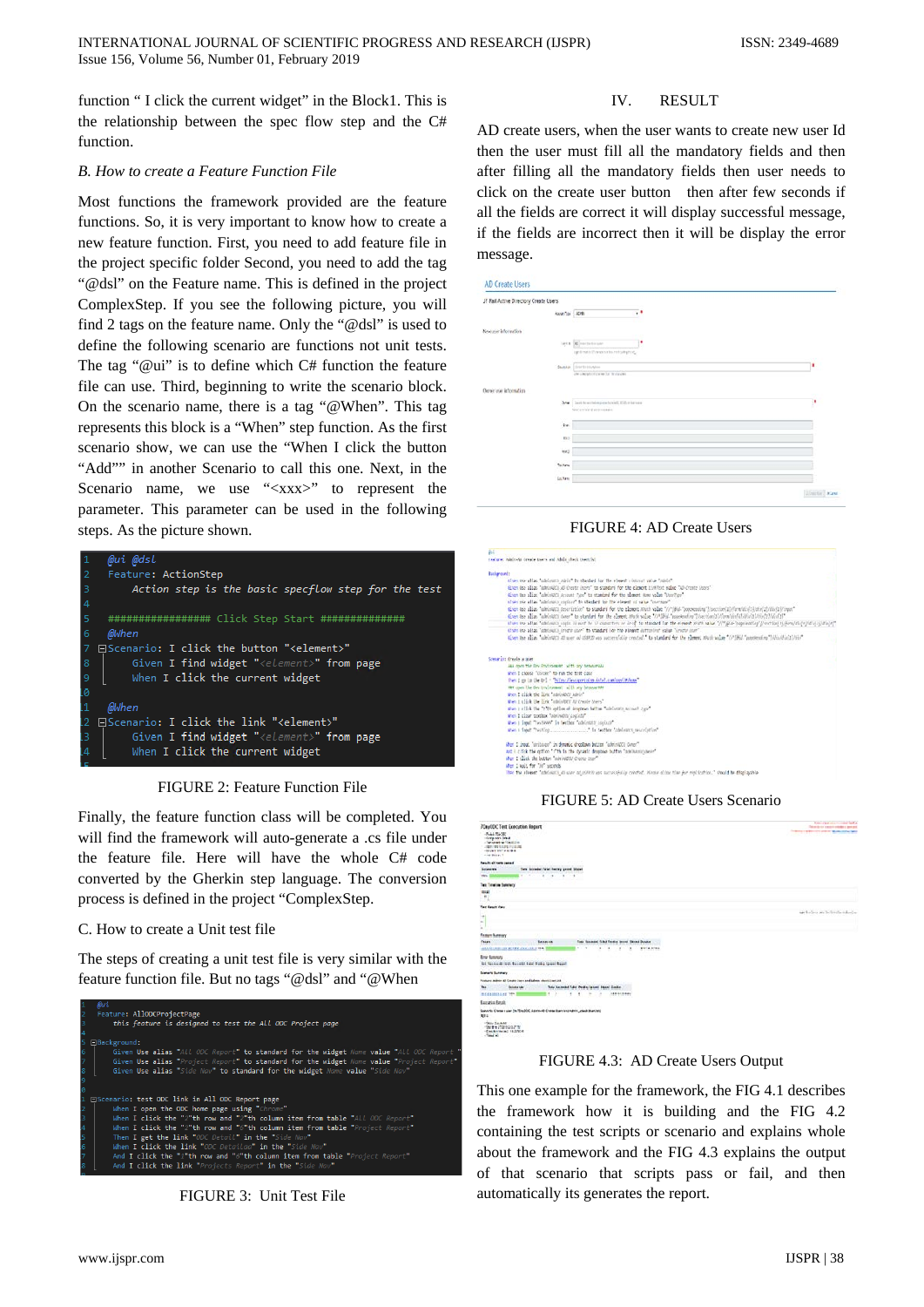function " I click the current widget" in the Block1. This is the relationship between the spec flow step and the C# function.

#### *B. How to create a Feature Function File*

Most functions the framework provided are the feature functions. So, it is very important to know how to create a new feature function. First, you need to add feature file in the project specific folder Second, you need to add the tag "@dsl" on the Feature name. This is defined in the project ComplexStep. If you see the following picture, you will find 2 tags on the feature name. Only the "@dsl" is used to define the following scenario are functions not unit tests. The tag "@ui" is to define which C# function the feature file can use. Third, beginning to write the scenario block. On the scenario name, there is a tag "@When". This tag represents this block is a "When" step function. As the first scenario show, we can use the "When I click the button "Add"" in another Scenario to call this one. Next, in the Scenario name, we use "<xxx>" to represent the parameter. This parameter can be used in the following steps. As the picture shown.



FIGURE 2: Feature Function File

Finally, the feature function class will be completed. You will find the framework will auto-generate a .cs file under the feature file. Here will have the whole C# code converted by the Gherkin step language. The conversion process is defined in the project "ComplexStep.

## C. How to create a Unit test file

The steps of creating a unit test file is very similar with the feature function file. But no tags "@dsl" and "@When



FIGURE 3: Unit Test File

## IV. RESULT

AD create users, when the user wants to create new user Id then the user must fill all the mandatory fields and then after filling all the mandatory fields then user needs to click on the create user button then after few seconds if all the fields are correct it will display successful message, if the fields are incorrect then it will be display the error message.

| JF Rail Active Directory Create Users             |                                               |   |
|---------------------------------------------------|-----------------------------------------------|---|
| Alcoh Tox 4095                                    | , 1                                           |   |
| New user information                              |                                               |   |
|                                                   | <b>Jeck Booth Strate</b>                      |   |
|                                                   | up theats threate else reliably hist.         |   |
|                                                   | Durant   Instructor                           |   |
|                                                   | also interest and any we first third and wi-  |   |
|                                                   |                                               |   |
|                                                   |                                               |   |
| 340                                               | limit he world majoranty wiell, CSD, mixeranx | ٠ |
|                                                   | New artists of a tre-reduct-                  |   |
| be                                                |                                               |   |
| 10.2                                              |                                               |   |
| $W^{(1)}$                                         |                                               |   |
|                                                   |                                               |   |
| Ovener user information<br><b>Suites</b><br>Laten |                                               |   |

FIGURE 4: AD Create Users

| ini.        |                                                                                                                                                                        |
|-------------|------------------------------------------------------------------------------------------------------------------------------------------------------------------------|
|             | teature; Adole-Al Create there and Adole check therefor.                                                                                                               |
| Background: |                                                                                                                                                                        |
|             | sives no altas, "ablown awar" to standed for the cleans' closure yabe, "autor".                                                                                        |
|             | Siven Day place "admindCS AD Create Stors" to standard for the element LiveText sales "AD Create Stors"                                                                |
|             | diven the alias "advintato" Account Tipe" to standard for the alement Nove value "therTipe"                                                                            |
|             | sive the altas "additions replace" to standed for the elegant of salue "corrects"                                                                                      |
|             | tives the alist "admissions bearistice" to standard for the element stuck value "//"[Rid-"poporessing"]/section/1///cen/div/53/06/23/06/23/06/23/06/23/06              |
|             | tiven the alian "administrs over" to standard for the element Stati sales "//"[Mid-"responsating" /section[1]/[pra/disfal/disfal/disfal/disfal/disfal/disfal/          |
|             | shan the affas "obstrains right in each by 17 monoches or level" to standard for the element shallse "//"(plu-"oopiesatin)" [/section) tij/envidin(e)(divi) i) dis(e)" |
|             | Clynn lite altas "controlls creete unes" to standard los the alleget duttorized value "creete inter"                                                                   |
|             | tives the alies "advisory at our of exercise as accessible created." to standard for the element state "//"[did "papperating"  /div/divisions                          |
|             | Scenario: Create a aser                                                                                                                                                |
|             | 444 corn the Dry Environment with any browsereaux                                                                                                                      |
|             | shot I change "Chrone" to can the trett case-                                                                                                                          |
|             | then I go in the tri - Nissa/Jesuportalso.intel.com/ses//n/home                                                                                                        |
|             | ett open the dev try/runned with any broasecrate                                                                                                                       |
|             | When I click the link "administry Admin"                                                                                                                               |
|             | then I click the link "ministers as create harn"                                                                                                                       |
|             | also ; click the "?"It option of drogones better "adelectic account cype"                                                                                              |
|             | When I clear profiles "odminADCV LogicID"                                                                                                                              |
|             | then I least "Neitheas" in textbox "administry regions"                                                                                                                |
|             |                                                                                                                                                                        |
|             | then I loop. "pritures" in dynasic dreppen button "advisable pane".                                                                                                    |
|             | and I click the option ">"th in the cycletic droppout button "application"                                                                                             |
|             | aben : click the button "minin@OU Crerte toor"                                                                                                                         |
|             | then I will for "10" seconds                                                                                                                                           |
|             | Then the atlenest "ddelevols as seen ad mORO) was successfully created. Please allow time for replication," should be displayable                                      |

FIGURE 5: AD Create Users Scenario

| <b>JOayODC Test Execution Report</b>                                                                                                              | fore-class store control to the<br>This product or a month with data is going and |
|---------------------------------------------------------------------------------------------------------------------------------------------------|-----------------------------------------------------------------------------------|
| $+0$ duty $75 \pm 300$<br><b>Linkshot less</b><br>a Newport of Financial<br>a light clair factory investment<br>+10/61 607 44184<br>Alle Bridge 1 | THE R. P. LEWIS CO., LANSING, MICH. 49-14039-1-120-2                              |
| feest attempted                                                                                                                                   |                                                                                   |
| Term Introduct Falset Awareg gamed Selecti.<br><b>Justiness rate</b>                                                                              |                                                                                   |
| tion.<br>$1 - 1$<br>٠<br>- 4                                                                                                                      |                                                                                   |
| Text Turning Summary                                                                                                                              |                                                                                   |
| <b>BM</b>                                                                                                                                         |                                                                                   |
| $\frac{1}{2}$<br>٠                                                                                                                                |                                                                                   |
| Year Bench View                                                                                                                                   |                                                                                   |
| ×.                                                                                                                                                | and the local part the function is develop-                                       |
| ×                                                                                                                                                 |                                                                                   |
| ì,                                                                                                                                                |                                                                                   |
| <b>France Kenney</b>                                                                                                                              |                                                                                   |
| <b>Feder</b><br>field Schmood Cabil Fordin Annual Street Bowler<br><b>Remains</b><br><b>ARABIAN IS ATTECHALISE THE</b><br><b>With a Arrest</b>    |                                                                                   |
|                                                                                                                                                   |                                                                                   |
| <b>Errar Sammars</b><br>led forces at lost brooks have realize good based                                                                         |                                                                                   |
|                                                                                                                                                   |                                                                                   |
| Senara Summers                                                                                                                                    |                                                                                   |
| Festure: Advis AT Coupe Carry and Advant short Carried                                                                                            |                                                                                   |
| <b>Trid</b><br>Test Second Take Penks lased Basel System<br><b>School May</b>                                                                     |                                                                                   |
| 149419441<br><b><i>BEELINEERS</i></b>                                                                                                             |                                                                                   |
| fascation beats                                                                                                                                   |                                                                                   |
| Service Come is use to Roubbi, Aprovall Cress them the name, that theritage<br>Mit 4                                                              |                                                                                   |
| -Say Seatt<br>$-5678 + 27209181779$<br>- Contentment FAIPER<br>$-$ Tanni ali<br>----                                                              |                                                                                   |

FIGURE 4.3: AD Create Users Output

This one example for the framework, the FIG 4.1 describes the framework how it is building and the FIG 4.2 containing the test scripts or scenario and explains whole about the framework and the FIG 4.3 explains the output of that scenario that scripts pass or fail, and then automatically its generates the report.